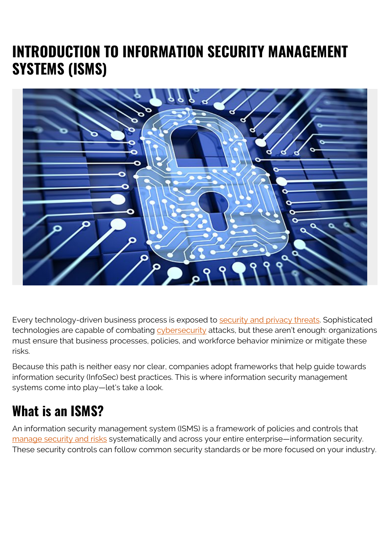# **INTRODUCTION TO INFORMATION SECURITY MANAGEMENT SYSTEMS (ISMS)**



Every technology-driven business process is exposed to [security and privacy threats](https://blogs.bmc.com/blogs/cybercrime/). Sophisticated technologies are capable of combating [cybersecurity](https://blogs.bmc.com/blogs/cybersecurity/) attacks, but these aren't enough: organizations must ensure that business processes, policies, and workforce behavior minimize or mitigate these risks.

Because this path is neither easy nor clear, companies adopt frameworks that help guide towards information security (InfoSec) best practices. This is where information security management systems come into play—let's take a look.

### **What is an ISMS?**

An information security management system (ISMS) is a framework of policies and controls that [manage security and risks](https://blogs.bmc.com/blogs/security-vulnerability-vs-threat-vs-risk-whats-difference/) systematically and across your entire enterprise—information security. These security controls can follow common security standards or be more focused on your industry.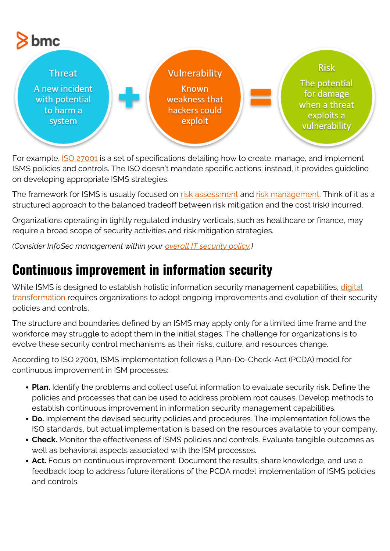

For example, **ISO 27001** is a set of specifications detailing how to create, manage, and implement ISMS policies and controls. The ISO doesn't mandate specific actions; instead, it provides guideline on developing appropriate ISMS strategies.

The framework for ISMS is usually focused on [risk assessment](https://blogs.bmc.com/blogs/risk-assessment-vs-vulnerability-assessment/) and [risk management.](https://blogs.bmc.com/blogs/security-risk-management-governance/) Think of it as a structured approach to the balanced tradeoff between risk mitigation and the cost (risk) incurred.

Organizations operating in tightly regulated industry verticals, such as healthcare or finance, may require a broad scope of security activities and risk mitigation strategies.

*(Consider InfoSec management within your [overall IT security policy](https://blogs.bmc.com/blogs/it-security-policy/).)*

#### **Continuous improvement in information security**

While ISMS is designed to establish holistic information security management capabilities, [digital](https://blogs.bmc.com/blogs/what-is-digital-transformation/) [transformation](https://blogs.bmc.com/blogs/what-is-digital-transformation/) requires organizations to adopt ongoing improvements and evolution of their security policies and controls.

The structure and boundaries defined by an ISMS may apply only for a limited time frame and the workforce may struggle to adopt them in the initial stages. The challenge for organizations is to evolve these security control mechanisms as their risks, culture, and resources change.

According to ISO 27001, ISMS implementation follows a Plan-Do-Check-Act (PCDA) model for continuous improvement in ISM processes:

- **Plan.** Identify the problems and collect useful information to evaluate security risk. Define the policies and processes that can be used to address problem root causes. Develop methods to establish continuous improvement in information security management capabilities.
- **Do.** Implement the devised security policies and procedures. The implementation follows the ISO standards, but actual implementation is based on the resources available to your company.
- **Check.** Monitor the effectiveness of ISMS policies and controls. Evaluate tangible outcomes as well as behavioral aspects associated with the ISM processes.
- **Act.** Focus on continuous improvement. Document the results, share knowledge, and use a feedback loop to address future iterations of the PCDA model implementation of ISMS policies and controls.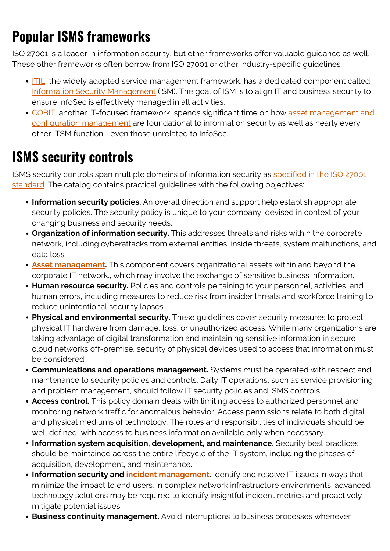# **Popular ISMS frameworks**

ISO 27001 is a leader in information security, but other frameworks offer valuable guidance as well. These other frameworks often borrow from ISO 27001 or other industry-specific guidelines.

- [ITIL](https://blogs.bmc.com/blogs/itil-4/), the widely adopted service management framework, has a dedicated component called [Information Security Management](https://blogs.bmc.com/blogs/itil-information-security-management/) (ISM). The goal of ISM is to align IT and business security to ensure InfoSec is effectively managed in all activities.
- [COBIT](https://blogs.bmc.com/blogs/cobit/), another IT-focused framework, spends significant time on how [asset management and](https://blogs.bmc.com/blogs/asset-management-vs-configuration-management/) [configuration management](https://blogs.bmc.com/blogs/asset-management-vs-configuration-management/) are foundational to information security as well as nearly every other ITSM function—even those unrelated to InfoSec.

## **ISMS security controls**

ISMS security controls span multiple domains of information security as [specified in the ISO 27001](https://www.isms.online/iso-27001/annex-a-14-system-acquisition-development-and-maintenance/) [standard.](https://www.isms.online/iso-27001/annex-a-14-system-acquisition-development-and-maintenance/) The catalog contains practical guidelines with the following objectives:

- **Information security policies.** An overall direction and support help establish appropriate security policies. The security policy is unique to your company, devised in context of your changing business and security needs.
- **Organization of information security.** This addresses threats and risks within the corporate network, including cyberattacks from external entities, inside threats, system malfunctions, and data loss.
- **[Asset management.](https://blogs.bmc.com/blogs/it-asset-management/)** This component covers organizational assets within and beyond the corporate IT network., which may involve the exchange of sensitive business information.
- **Human resource security.** Policies and controls pertaining to your personnel, activities, and human errors, including measures to reduce risk from insider threats and workforce training to reduce unintentional security lapses.
- **Physical and environmental security.** These guidelines cover security measures to protect physical IT hardware from damage, loss, or unauthorized access. While many organizations are taking advantage of digital transformation and maintaining sensitive information in secure cloud networks off-premise, security of physical devices used to access that information must be considered.
- **Communications and operations management.** Systems must be operated with respect and maintenance to security policies and controls. Daily IT operations, such as service provisioning and problem management, should follow IT security policies and ISMS controls.
- **Access control.** This policy domain deals with limiting access to authorized personnel and monitoring network traffic for anomalous behavior. Access permissions relate to both digital and physical mediums of technology. The roles and responsibilities of individuals should be well defined, with access to business information available only when necessary.
- **Information system acquisition, development, and maintenance.** Security best practices should be maintained across the entire lifecycle of the IT system, including the phases of acquisition, development, and maintenance.
- **Information security and** *incident management***.** Identify and resolve IT issues in ways that minimize the impact to end users. In complex network infrastructure environments, advanced technology solutions may be required to identify insightful incident metrics and proactively mitigate potential issues.
- **Business continuity management.** Avoid interruptions to business processes whenever